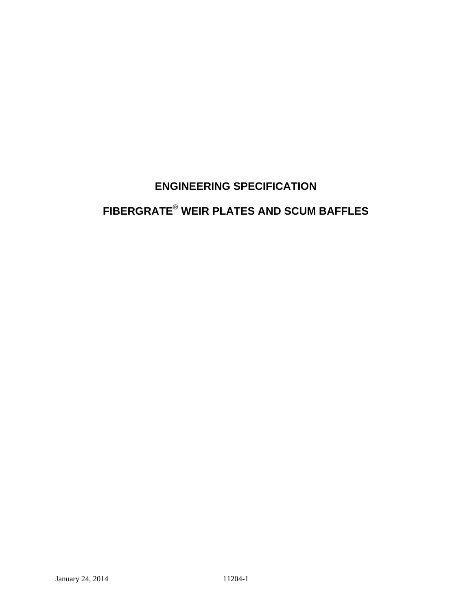# **ENGINEERING SPECIFICATION**

# **FIBERGRATE® WEIR PLATES AND SCUM BAFFLES**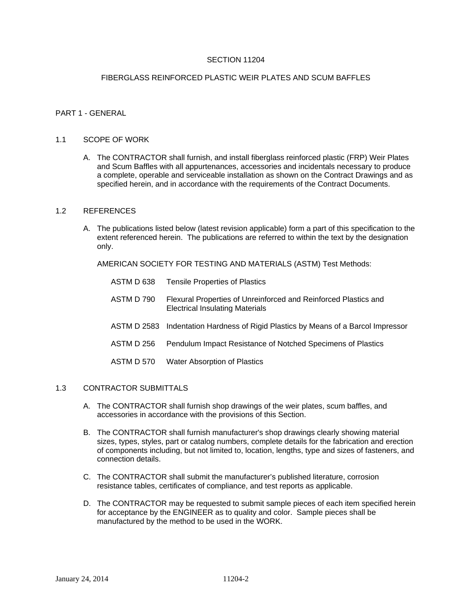# SECTION 11204

# FIBERGLASS REINFORCED PLASTIC WEIR PLATES AND SCUM BAFFLES

# PART 1 - GENERAL

#### 1.1 SCOPE OF WORK

A. The CONTRACTOR shall furnish, and install fiberglass reinforced plastic (FRP) Weir Plates and Scum Baffles with all appurtenances, accessories and incidentals necessary to produce a complete, operable and serviceable installation as shown on the Contract Drawings and as specified herein, and in accordance with the requirements of the Contract Documents.

#### 1.2 REFERENCES

A. The publications listed below (latest revision applicable) form a part of this specification to the extent referenced herein. The publications are referred to within the text by the designation only.

AMERICAN SOCIETY FOR TESTING AND MATERIALS (ASTM) Test Methods:

| <b>Tensile Properties of Plastics</b>                                                                     |
|-----------------------------------------------------------------------------------------------------------|
| Flexural Properties of Unreinforced and Reinforced Plastics and<br><b>Electrical Insulating Materials</b> |
| ASTM D 2583 Indentation Hardness of Rigid Plastics by Means of a Barcol Impressor                         |
| Pendulum Impact Resistance of Notched Specimens of Plastics                                               |
| <b>Water Absorption of Plastics</b>                                                                       |
|                                                                                                           |

# 1.3 CONTRACTOR SUBMITTALS

- A. The CONTRACTOR shall furnish shop drawings of the weir plates, scum baffles, and accessories in accordance with the provisions of this Section.
- B. The CONTRACTOR shall furnish manufacturer's shop drawings clearly showing material sizes, types, styles, part or catalog numbers, complete details for the fabrication and erection of components including, but not limited to, location, lengths, type and sizes of fasteners, and connection details.
- C. The CONTRACTOR shall submit the manufacturer's published literature, corrosion resistance tables, certificates of compliance, and test reports as applicable.
- D. The CONTRACTOR may be requested to submit sample pieces of each item specified herein for acceptance by the ENGINEER as to quality and color. Sample pieces shall be manufactured by the method to be used in the WORK.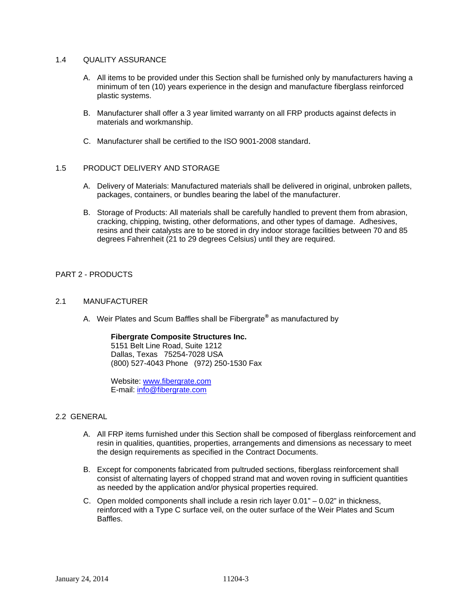# 1.4 QUALITY ASSURANCE

- A. All items to be provided under this Section shall be furnished only by manufacturers having a minimum of ten (10) years experience in the design and manufacture fiberglass reinforced plastic systems.
- B. Manufacturer shall offer a 3 year limited warranty on all FRP products against defects in materials and workmanship.
- C. Manufacturer shall be certified to the ISO 9001-2008 standard.

# 1.5 PRODUCT DELIVERY AND STORAGE

- A. Delivery of Materials: Manufactured materials shall be delivered in original, unbroken pallets, packages, containers, or bundles bearing the label of the manufacturer.
- B. Storage of Products: All materials shall be carefully handled to prevent them from abrasion, cracking, chipping, twisting, other deformations, and other types of damage. Adhesives, resins and their catalysts are to be stored in dry indoor storage facilities between 70 and 85 degrees Fahrenheit (21 to 29 degrees Celsius) until they are required.

# PART 2 - PRODUCTS

# 2.1 MANUFACTURER

A. Weir Plates and Scum Baffles shall be Fibergrate**®** as manufactured by

#### **Fibergrate Composite Structures Inc.**

5151 Belt Line Road, Suite 1212 Dallas, Texas 75254-7028 USA (800) 527-4043 Phone (972) 250-1530 Fax

Website: www.fibergrate.com E-mail: info@fibergrate.com

#### 2.2 GENERAL

- A. All FRP items furnished under this Section shall be composed of fiberglass reinforcement and resin in qualities, quantities, properties, arrangements and dimensions as necessary to meet the design requirements as specified in the Contract Documents.
- B. Except for components fabricated from pultruded sections, fiberglass reinforcement shall consist of alternating layers of chopped strand mat and woven roving in sufficient quantities as needed by the application and/or physical properties required.
- C. Open molded components shall include a resin rich layer 0.01" 0.02" in thickness, reinforced with a Type C surface veil, on the outer surface of the Weir Plates and Scum **Baffles**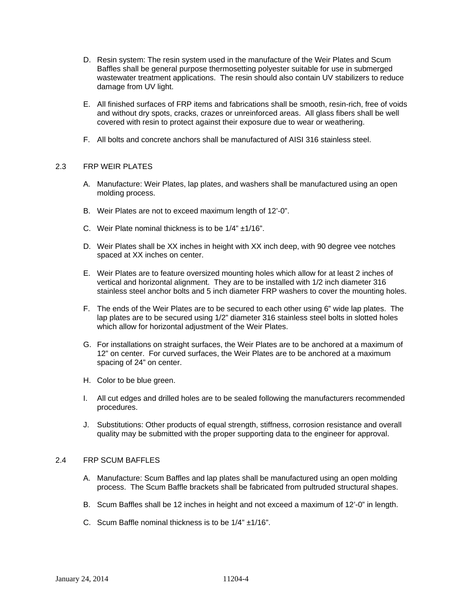- D. Resin system: The resin system used in the manufacture of the Weir Plates and Scum Baffles shall be general purpose thermosetting polyester suitable for use in submerged wastewater treatment applications. The resin should also contain UV stabilizers to reduce damage from UV light.
- E. All finished surfaces of FRP items and fabrications shall be smooth, resin-rich, free of voids and without dry spots, cracks, crazes or unreinforced areas. All glass fibers shall be well covered with resin to protect against their exposure due to wear or weathering.
- F. All bolts and concrete anchors shall be manufactured of AISI 316 stainless steel.

# 2.3 FRP WEIR PLATES

- A. Manufacture: Weir Plates, lap plates, and washers shall be manufactured using an open molding process.
- B. Weir Plates are not to exceed maximum length of 12'-0".
- C. Weir Plate nominal thickness is to be 1/4" ±1/16".
- D. Weir Plates shall be XX inches in height with XX inch deep, with 90 degree vee notches spaced at XX inches on center.
- E. Weir Plates are to feature oversized mounting holes which allow for at least 2 inches of vertical and horizontal alignment. They are to be installed with 1/2 inch diameter 316 stainless steel anchor bolts and 5 inch diameter FRP washers to cover the mounting holes.
- F. The ends of the Weir Plates are to be secured to each other using 6" wide lap plates. The lap plates are to be secured using 1/2" diameter 316 stainless steel bolts in slotted holes which allow for horizontal adjustment of the Weir Plates.
- G. For installations on straight surfaces, the Weir Plates are to be anchored at a maximum of 12" on center. For curved surfaces, the Weir Plates are to be anchored at a maximum spacing of 24" on center.
- H. Color to be blue green.
- I. All cut edges and drilled holes are to be sealed following the manufacturers recommended procedures.
- J. Substitutions: Other products of equal strength, stiffness, corrosion resistance and overall quality may be submitted with the proper supporting data to the engineer for approval.

# 2.4 FRP SCUM BAFFLES

- A. Manufacture: Scum Baffles and lap plates shall be manufactured using an open molding process. The Scum Baffle brackets shall be fabricated from pultruded structural shapes.
- B. Scum Baffles shall be 12 inches in height and not exceed a maximum of 12'-0" in length.
- C. Scum Baffle nominal thickness is to be 1/4" ±1/16".